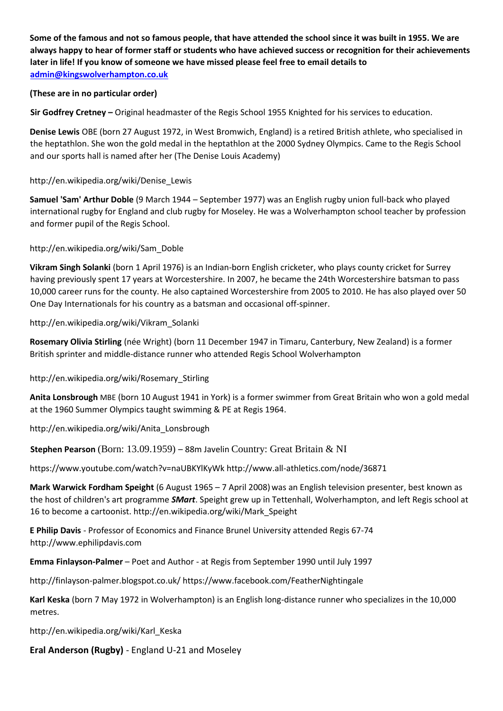**Some of the famous and not so famous people, that have attended the school since it was built in 1955. We are always happy to hear of former staff or students who have achieved success or recognition for their achievements later in life! If you know of someone we have missed please feel free to email details to admin@kingswolverhampton.co.uk**

### **(These are in no particular order)**

**Sir Godfrey Cretney –** Original headmaster of the Regis School 1955 Knighted for his services to education.

**Denise Lewis** OBE (born 27 August 1972, in West Bromwich, England) is a retired British athlete, who specialised in the heptathlon. She won the gold medal in the heptathlon at the 2000 Sydney Olympics. Came to the Regis School and our sports hall is named after her (The Denise Louis Academy)

### http://en.wikipedia.org/wiki/Denise\_Lewis

**Samuel 'Sam' Arthur Doble** (9 March 1944 – September 1977) was an English rugby union full-back who played international rugby for England and club rugby for Moseley. He was a Wolverhampton school teacher by profession and former pupil of the Regis School.

### http://en.wikipedia.org/wiki/Sam\_Doble

**Vikram Singh Solanki** (born 1 April 1976) is an Indian-born English cricketer, who plays county cricket for Surrey having previously spent 17 years at Worcestershire. In 2007, he became the 24th Worcestershire batsman to pass 10,000 career runs for the county. He also captained Worcestershire from 2005 to 2010. He has also played over 50 One Day Internationals for his country as a batsman and occasional off-spinner.

### http://en.wikipedia.org/wiki/Vikram\_Solanki

**Rosemary Olivia Stirling** (née Wright) (born 11 December 1947 in Timaru, Canterbury, New Zealand) is a former British sprinter and middle-distance runner who attended Regis School Wolverhampton

## http://en.wikipedia.org/wiki/Rosemary\_Stirling

**Anita Lonsbrough** MBE (born 10 August 1941 in York) is a former swimmer from Great Britain who won a gold medal at the 1960 Summer Olympics taught swimming & PE at Regis 1964.

http://en.wikipedia.org/wiki/Anita\_Lonsbrough

## **Stephen Pearson** (Born: 13.09.1959) – 88m Javelin Country: Great Britain & NI

https://www.youtube.com/watch?v=naUBKYlKyWk http://www.all-athletics.com/node/36871

**Mark Warwick Fordham Speight** (6 August 1965 – 7 April 2008) was an English television presenter, best known as the host of children's art programme *SMart*. Speight grew up in Tettenhall, Wolverhampton, and left Regis school at 16 to become a cartoonist. http://en.wikipedia.org/wiki/Mark\_Speight

**E Philip Davis** - Professor of Economics and Finance Brunel University attended Regis 67-74 http://www.ephilipdavis.com

**Emma Finlayson-Palmer** – Poet and Author - at Regis from September 1990 until July 1997

http://finlayson-palmer.blogspot.co.uk/ https://www.facebook.com/FeatherNightingale

**Karl Keska** (born 7 May 1972 in Wolverhampton) is an English long-distance runner who specializes in the 10,000 metres.

http://en.wikipedia.org/wiki/Karl\_Keska

## **Eral Anderson (Rugby)** - England U-21 and Moseley